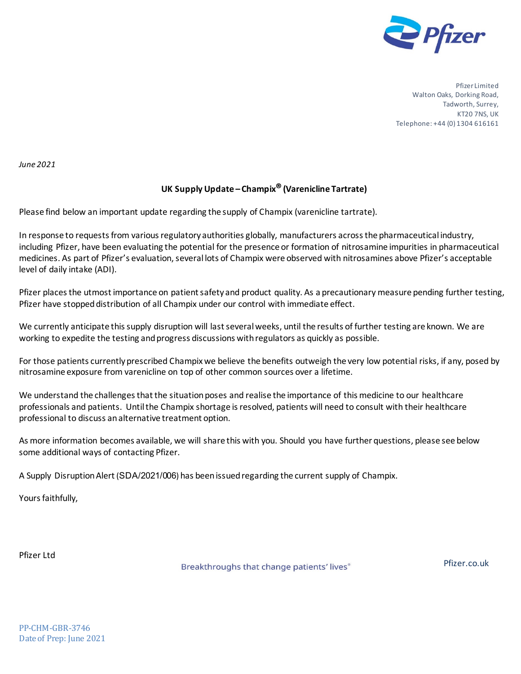

Pfizer Limited Walton Oaks, Dorking Road, Tadworth, Surrey, KT20 7NS, UK Telephone: +44 (0) 1304 616161

*June 2021* 

# **UK Supply Update – Champix®(Varenicline Tartrate)**

Please find below an important update regarding the supply of Champix (varenicline tartrate).

In response to requests from various regulatory authorities globally, manufacturers across the pharmaceutical industry, including Pfizer, have been evaluating the potential for the presence or formation of nitrosamine impurities in pharmaceutical medicines. As part of Pfizer's evaluation, several lots of Champix were observed with nitrosamines above Pfizer's acceptable level of daily intake (ADI).

Pfizer places the utmost importance on patient safety and product quality. As a precautionary measure pending further testing, Pfizer have stopped distribution of all Champix under our control with immediate effect.

We currently anticipate this supply disruption will last several weeks, until the results of further testing are known. We are working to expedite the testing and progress discussions with regulators as quickly as possible.

For those patients currently prescribed Champixwe believe the benefits outweigh the very low potential risks, if any, posed by nitrosamine exposure from varenicline on top of other common sources over a lifetime.

We understand the challenges that the situation poses and realise the importance of this medicine to our healthcare professionals and patients. Until the Champix shortage is resolved, patients will need to consult with their healthcare professional to discuss an alternative treatment option.

As more information becomes available, we will share this with you. Should you have further questions, please see below some additional ways of contacting Pfizer.

A Supply Disruption Alert(SDA/2021/006) has been issued regarding the current supply of Champix.

Yours faithfully,

Pfizer Ltd

Breakthroughs that change patients' lives®

Pfizer.co.uk